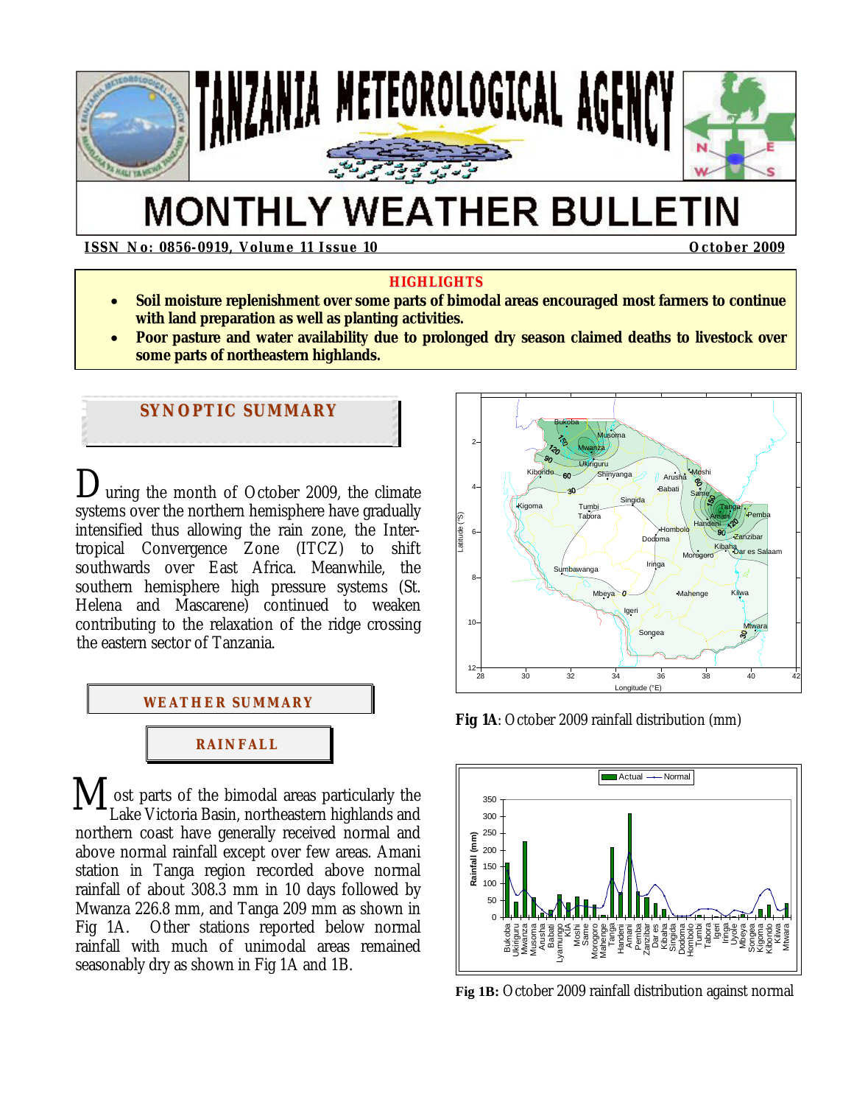

# **MONTHLY WEATHER BULLETIN**

**ISSN No: 0856-0919, Volume 11 Issue 10 October 2009** 

#### **HIGHLIGHTS**

- **Soil moisture replenishment over some parts of bimodal areas encouraged most farmers to continue with land preparation as well as planting activities.**
- **Poor pasture and water availability due to prolonged dry season claimed deaths to livestock over some parts of northeastern highlands.**

# **SYNOPTIC SUMMARY**

uring the month of October 2009, the climate systems over the northern hemisphere have gradually intensified thus allowing the rain zone, the Intertropical Convergence Zone (ITCZ) to shift southwards over East Africa. Meanwhile, the southern hemisphere high pressure systems (St. Helena and Mascarene) continued to weaken contributing to the relaxation of the ridge crossing the eastern sector of Tanzania. D



 ost parts of the bimodal areas particularly the Lake Victoria Basin, northeastern highlands and northern coast have generally received normal and above normal rainfall except over few areas. Amani station in Tanga region recorded above normal rainfall of about 308.3 mm in 10 days followed by Mwanza 226.8 mm, and Tanga 209 mm as shown in Fig 1A. Other stations reported below normal rainfall with much of unimodal areas remained seasonably dry as shown in Fig 1A and 1B.  $\mathbf{M}_{\scriptscriptstyle{\textrm{L}}^{\circ}}$ 



**Fig 1A**: October 2009 rainfall distribution (mm)



**Fig 1B:** October 2009 rainfall distribution against normal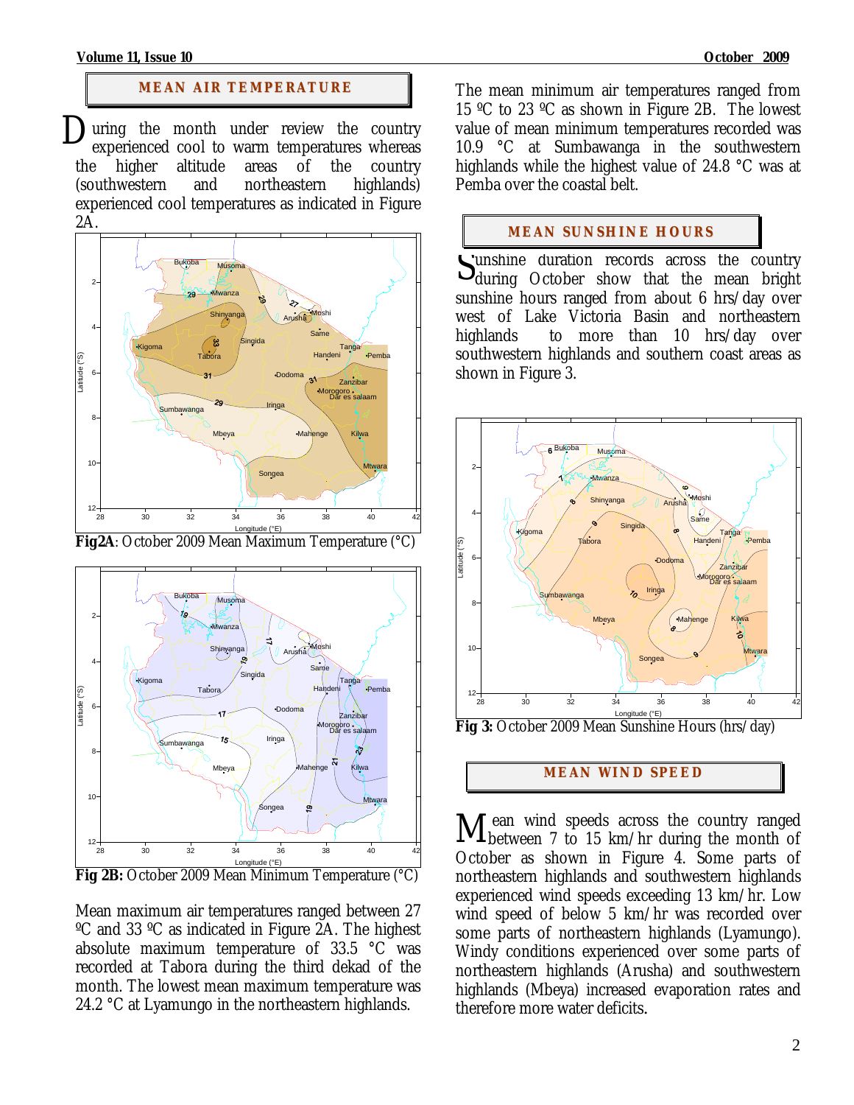## **MEAN AIR TEMPERATURE**

uring the month under review the country experienced cool to warm temperatures whereas the higher altitude areas of the country (southwestern and northeastern highlands) experienced cool temperatures as indicated in Figure 2A.  $\sum_{\text{the } }$ 



**Fig2A**: October 2009 Mean Maximum Temperature (°C)



Longitude (°E) **Fig 2B:** October 2009 Mean Minimum Temperature (°C)

Mean maximum air temperatures ranged between 27 ºC and 33 ºC as indicated in Figure 2A. The highest absolute maximum temperature of 33.5 °C was recorded at Tabora during the third dekad of the month. The lowest mean maximum temperature was 24.2 °C at Lyamungo in the northeastern highlands.

The mean minimum air temperatures ranged from 15 ºC to 23 ºC as shown in Figure 2B. The lowest value of mean minimum temperatures recorded was 10.9 °C at Sumbawanga in the southwestern highlands while the highest value of 24.8 °C was at Pemba over the coastal belt.

# **MEAN SUNSHINE HOURS**

unshine duration records across the country Unshine duration records across the country<br>during October show that the mean bright sunshine hours ranged from about 6 hrs/day over west of Lake Victoria Basin and northeastern highlands to more than 10 hrs/day over southwestern highlands and southern coast areas as shown in Figure 3.



**Fig 3:** October 2009 Mean Sunshine Hours (hrs/day)

# **MEAN WI ND SPEED**

 ean wind speeds across the country ranged Mean wind speeds across the country ranged between 7 to 15 km/hr during the month of October as shown in Figure 4. Some parts of northeastern highlands and southwestern highlands experienced wind speeds exceeding 13 km/hr. Low wind speed of below 5 km/hr was recorded over some parts of northeastern highlands (Lyamungo). Windy conditions experienced over some parts of northeastern highlands (Arusha) and southwestern highlands (Mbeya) increased evaporation rates and therefore more water deficits*.*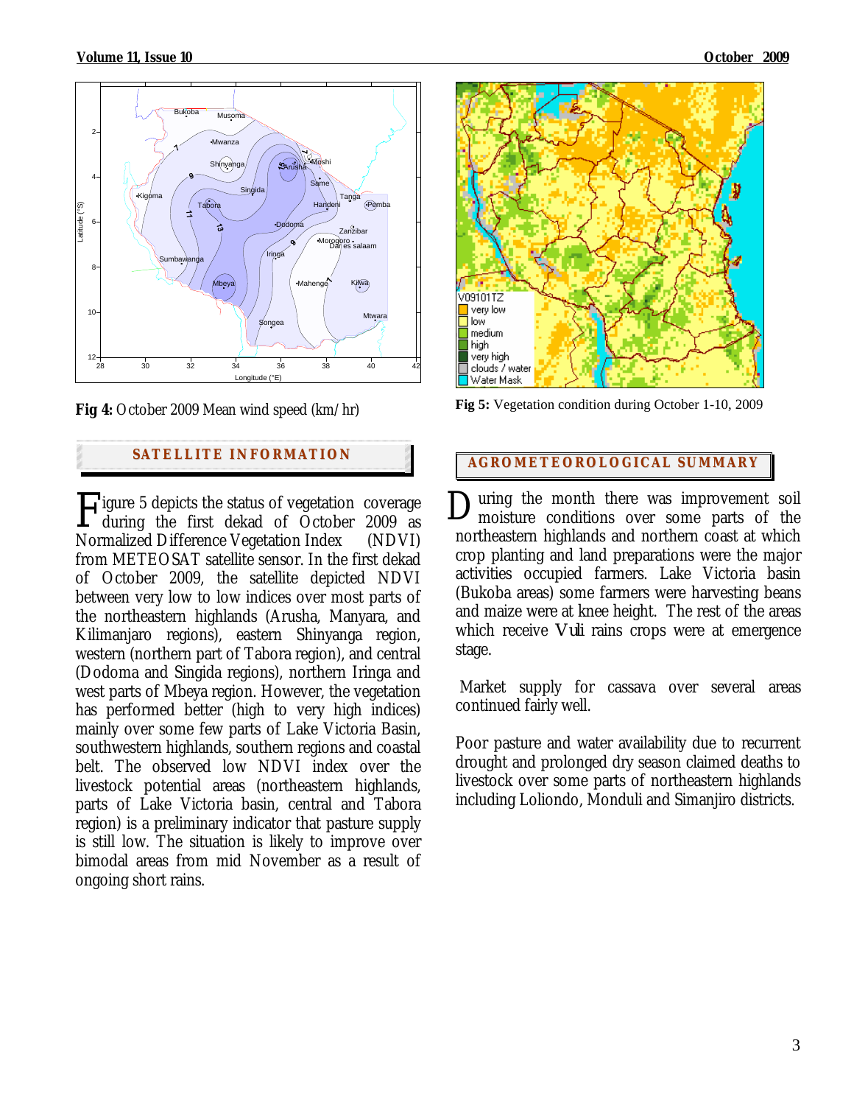

**Fig 4:** October 2009 Mean wind speed (km/hr)

# **SATELLITE <sup>I</sup> NFORMATION AGROMETEOROLOGICAL SUMMARY**

**Tigure 5 depicts the status of vegetation coverage**  $\Gamma$ igure 5 depicts the status of vegetation coverage  $\Gamma$ Normalized Difference Vegetation Index (NDVI) from METEOSAT satellite sensor. In the first dekad of October 2009, the satellite depicted NDVI between very low to low indices over most parts of the northeastern highlands (Arusha, Manyara, and Kilimanjaro regions), eastern Shinyanga region, western (northern part of Tabora region), and central (Dodoma and Singida regions), northern Iringa and west parts of Mbeya region. However, the vegetation has performed better (high to very high indices) mainly over some few parts of Lake Victoria Basin, southwestern highlands, southern regions and coastal belt. The observed low NDVI index over the livestock potential areas (northeastern highlands, parts of Lake Victoria basin, central and Tabora region) is a preliminary indicator that pasture supply is still low. The situation is likely to improve over bimodal areas from mid November as a result of ongoing short rains.



**Fig 5:** Vegetation condition during October 1-10, 2009

uring the month there was improvement soil moisture conditions over some parts of the northeastern highlands and northern coast at which crop planting and land preparations were the major activities occupied farmers. Lake Victoria basin (Bukoba areas) some farmers were harvesting beans and maize were at knee height. The rest of the areas which receive *Vuli* rains crops were at emergence stage.

 Market supply for cassava over several areas continued fairly well.

Poor pasture and water availability due to recurrent drought and prolonged dry season claimed deaths to livestock over some parts of northeastern highlands including Loliondo, Monduli and Simanjiro districts.